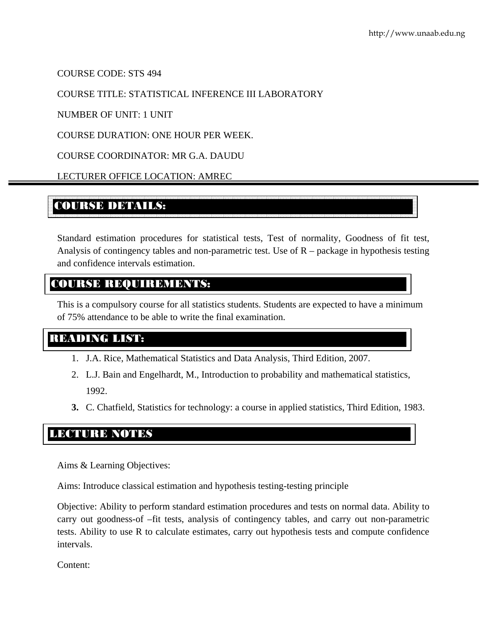COURSE CODE: STS 494

#### COURSE TITLE: STATISTICAL INFERENCE III LABORATORY

NUMBER OF UNIT: 1 UNIT

COURSE DURATION: ONE HOUR PER WEEK.

COURSE COORDINATOR: MR G.A. DAUDU

LECTURER OFFICE LOCATION: AMREC

# COURSE DETAILS:

Standard estimation procedures for statistical tests, Test of normality, Goodness of fit test, Analysis of contingency tables and non-parametric test. Use of R – package in hypothesis testing and confidence intervals estimation.

### COURSE REQUIREMENTS:

This is a compulsory course for all statistics students. Students are expected to have a minimum of 75% attendance to be able to write the final examination.

# READING LIST:

- 1. J.A. Rice, Mathematical Statistics and Data Analysis, Third Edition, 2007.
- 2. L.J. Bain and Engelhardt, M., Introduction to probability and mathematical statistics, 1992.
- **3.** C. Chatfield, Statistics for technology: a course in applied statistics, Third Edition, 1983.

### LECTURE NOTES

Aims & Learning Objectives:

Aims: Introduce classical estimation and hypothesis testing-testing principle

Objective: Ability to perform standard estimation procedures and tests on normal data. Ability to carry out goodness-of –fit tests, analysis of contingency tables, and carry out non-parametric tests. Ability to use R to calculate estimates, carry out hypothesis tests and compute confidence intervals.

Content: